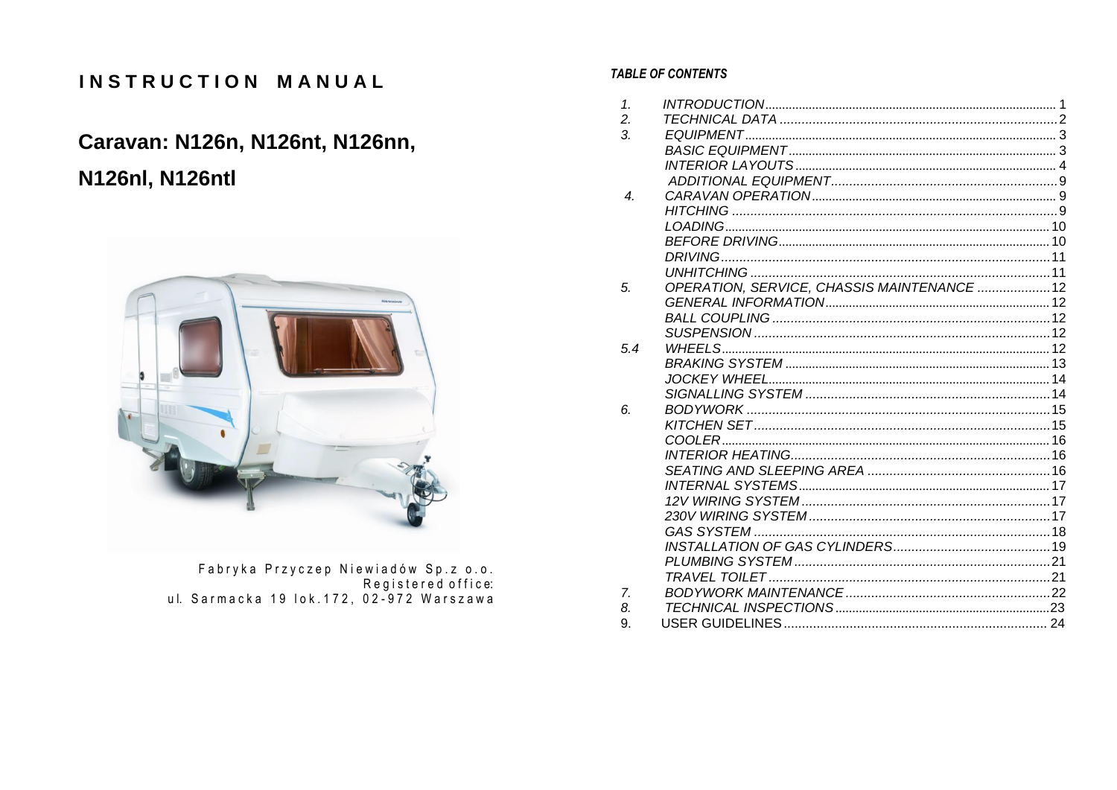# INSTRUCTION MANUAL

# Caravan: N126n, N126nt, N126nn,

# **N126nl, N126ntl**



Fabryka Przyczep Niewiadów Sp.z o.o.<br>:Registered office ul. Sarmacka 19 lok.172, 02-972 Warszawa

# **TABLE OF CONTENTS**

| $\mathcal{1}$ .  |                                            |  |
|------------------|--------------------------------------------|--|
| 2.               |                                            |  |
| $\overline{3}$ . |                                            |  |
|                  |                                            |  |
|                  |                                            |  |
|                  |                                            |  |
| $\boldsymbol{4}$ |                                            |  |
|                  |                                            |  |
|                  |                                            |  |
|                  |                                            |  |
|                  |                                            |  |
|                  |                                            |  |
| 5.               | OPERATION, SERVICE, CHASSIS MAINTENANCE 12 |  |
|                  |                                            |  |
|                  |                                            |  |
|                  |                                            |  |
| 5.4              |                                            |  |
|                  |                                            |  |
|                  |                                            |  |
|                  |                                            |  |
| 6.               |                                            |  |
|                  |                                            |  |
|                  | COOLER                                     |  |
|                  |                                            |  |
|                  |                                            |  |
|                  |                                            |  |
|                  |                                            |  |
|                  |                                            |  |
|                  |                                            |  |
|                  |                                            |  |
|                  |                                            |  |
|                  |                                            |  |
| 7.               |                                            |  |
| 8.               |                                            |  |
| 9.               |                                            |  |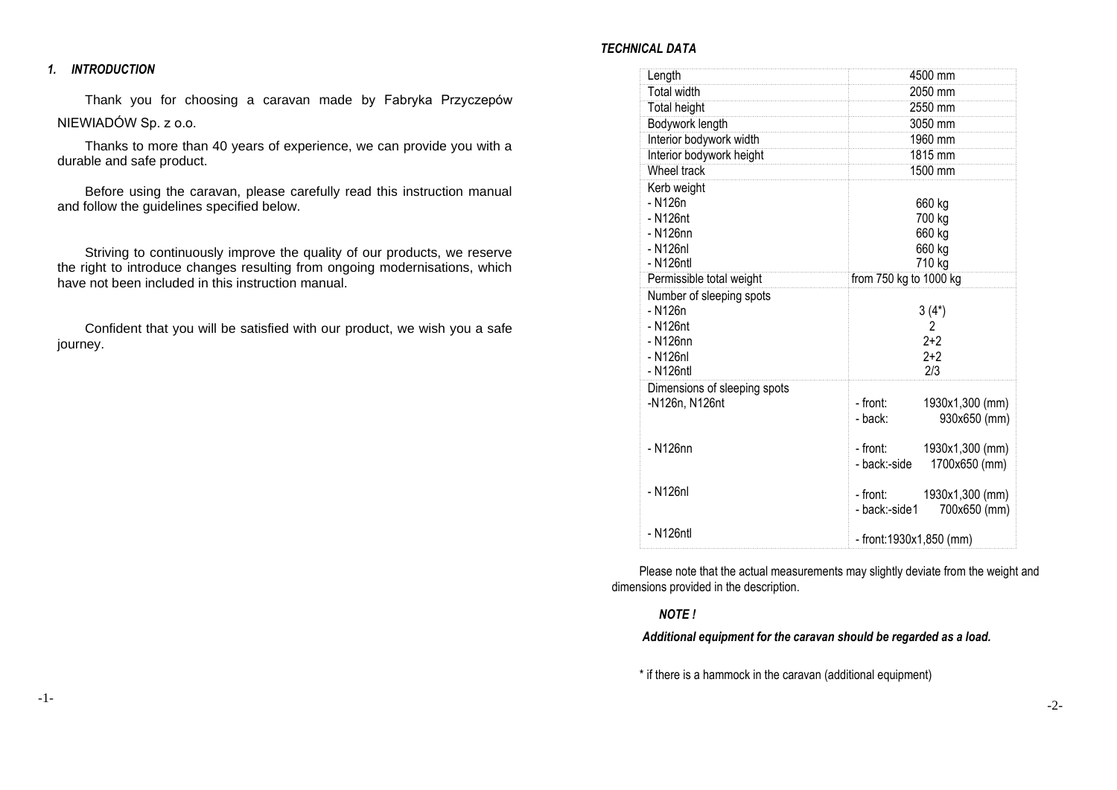### <span id="page-1-0"></span>*1. INTRODUCTION*

Thank you for choosing a caravan made by Fabryka Przyczepów NIEWIADÓW Sp. z o.o.

Thanks to more than 40 years of experience, we can provide you with a durable and safe product.

Before using the caravan, please carefully read this instruction manual and follow the guidelines specified below.

Striving to continuously improve the quality of our products, we reserve the right to introduce changes resulting from ongoing modernisations, which have not been included in this instruction manual.

Confident that you will be satisfied with our product, we wish you a safe journey.

### *TECHNICAL DATA*

| Length                       | 4500 mm                       |
|------------------------------|-------------------------------|
| <b>Total width</b>           | 2050 mm                       |
| <b>Total height</b>          | 2550 mm                       |
| Bodywork length              | 3050 mm                       |
| Interior bodywork width      | 1960 mm                       |
| Interior bodywork height     | 1815 mm                       |
| Wheel track                  | 1500 mm                       |
| Kerb weight                  |                               |
| - N126n                      | 660 kg                        |
| - N126nt                     | 700 kg                        |
| - N126nn                     | 660 kg                        |
| - N126nl                     | 660 kg                        |
| - N126ntl                    | 710 kg                        |
| Permissible total weight     | from 750 kg to 1000 kg        |
| Number of sleeping spots     |                               |
| - N126n                      | $3(4*)$                       |
| - N126nt                     | 2                             |
| - N126nn                     | $2 + 2$                       |
| - N126nl                     | $2+2$                         |
| - N126ntl                    | 2/3                           |
| Dimensions of sleeping spots | - front:                      |
| -N126n, N126nt               | 1930x1,300 (mm)               |
|                              | 930x650 (mm)<br>- back:       |
| - N126nn                     | - front:<br>1930x1,300 (mm)   |
|                              | 1700x650 (mm)<br>- back:-side |
|                              |                               |
| - N126nl                     | - front:<br>1930x1,300 (mm)   |
|                              | 700x650 (mm)<br>- back:-side1 |
|                              |                               |
| - N126ntl                    | - front:1930x1,850 (mm)       |

Please note that the actual measurements may slightly deviate from the weight and dimensions provided in the description.

### *NOTE !*

# *Additional equipment for the caravan should be regarded as a load.*

\* if there is a hammock in the caravan (additional equipment)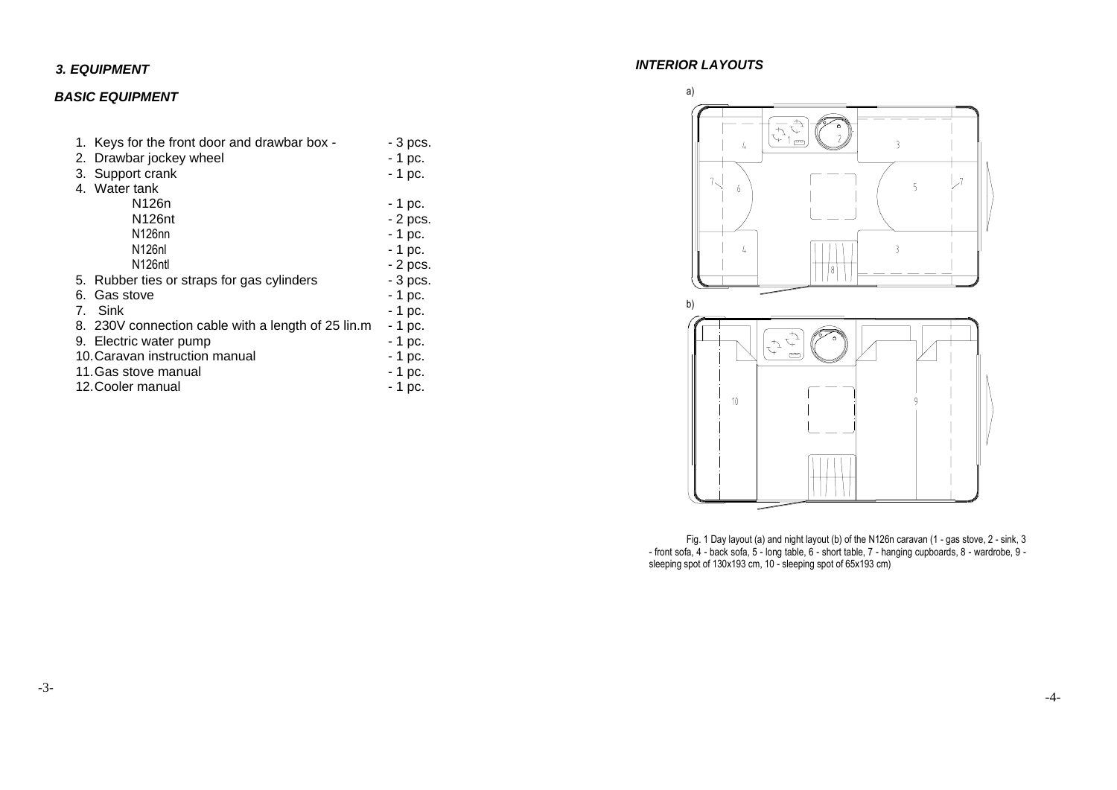# <span id="page-2-0"></span>*3. EQUIPMENT*

# <span id="page-2-1"></span>*BASIC EQUIPMENT*

<span id="page-2-2"></span>

| 1.                                        | Keys for the front door and drawbar box -          | - 3 pcs. |  |
|-------------------------------------------|----------------------------------------------------|----------|--|
|                                           | 2. Drawbar jockey wheel                            | $-1$ pc. |  |
|                                           | 3. Support crank                                   | - 1 pc.  |  |
|                                           | 4. Water tank                                      |          |  |
|                                           | N126n                                              | - 1 pc.  |  |
|                                           | N126 <sub>nt</sub>                                 | - 2 pcs. |  |
|                                           | N126nn                                             | $-1$ pc. |  |
|                                           | N <sub>126</sub> nl                                | - 1 pc.  |  |
|                                           | N126ntl                                            | - 2 pcs. |  |
|                                           | 5. Rubber ties or straps for gas cylinders         | - 3 pcs. |  |
|                                           | 6. Gas stove                                       |          |  |
|                                           | 7. Sink                                            | - 1 pc.  |  |
|                                           | 8. 230V connection cable with a length of 25 lin.m | - 1 pc.  |  |
|                                           | 9. Electric water pump                             | - 1 pc.  |  |
| 10. Caravan instruction manual<br>- 1 pc. |                                                    |          |  |
| $-1$ pc.<br>11. Gas stove manual          |                                                    |          |  |
| 12. Cooler manual<br>- 1 pc.              |                                                    |          |  |

# *INTERIOR LAYOUTS*



Fig. 1 Day layout (a) and night layout (b) of the N126n caravan (1 - gas stove, 2 - sink, 3 - front sofa, 4 - back sofa, 5 - long table, 6 - short table, 7 - hanging cupboards, 8 - wardrobe, 9 sleeping spot of 130x193 cm, 10 - sleeping spot of 65x193 cm)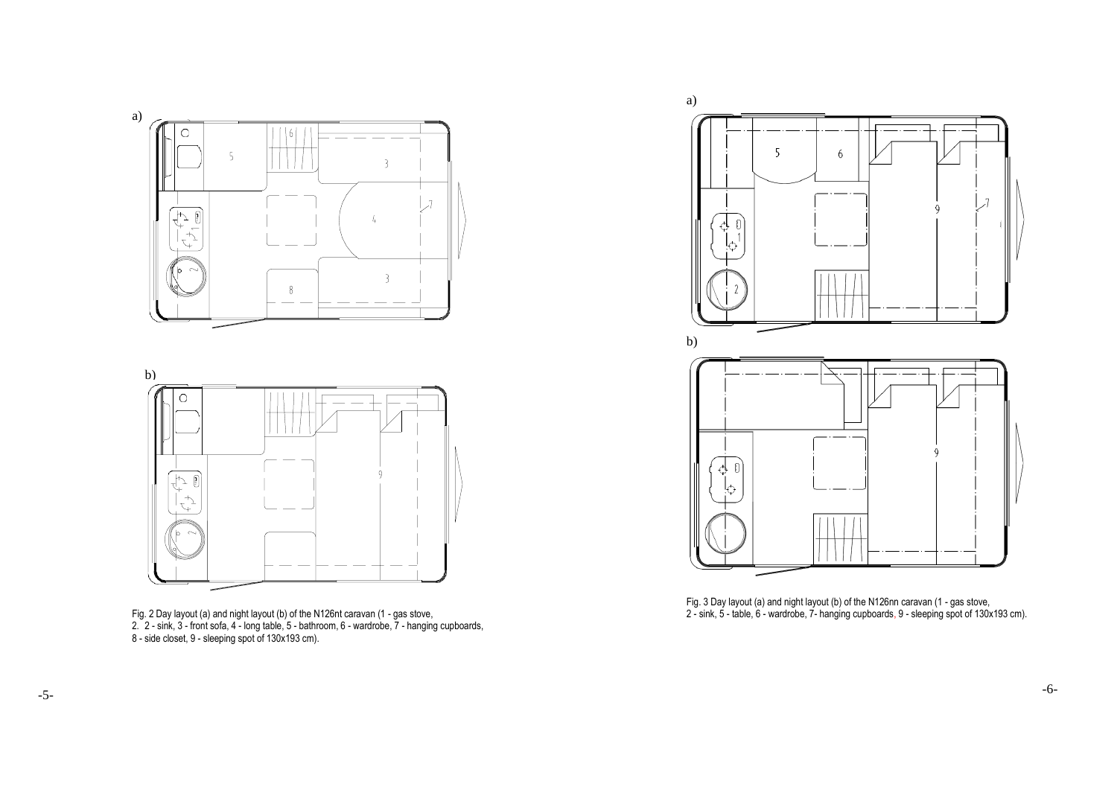



Fig. 2 Day layout (a) and night layout (b) of the N126nt caravan (1 - gas stove, 2. 2 - sink, 3 - front sofa, 4 - long table, 5 - bathroom, 6 - wardrobe, 7 - hanging cupboards, 8 - side closet, 9 - sleeping spot of 130x193 cm).



Fig. 3 Day layout (a) and night layout (b) of the N126nn caravan (1 - gas stove, 2 - sink, 5 - table, 6 - wardrobe, 7- hanging cupboards, 9 - sleeping spot of 130x193 cm).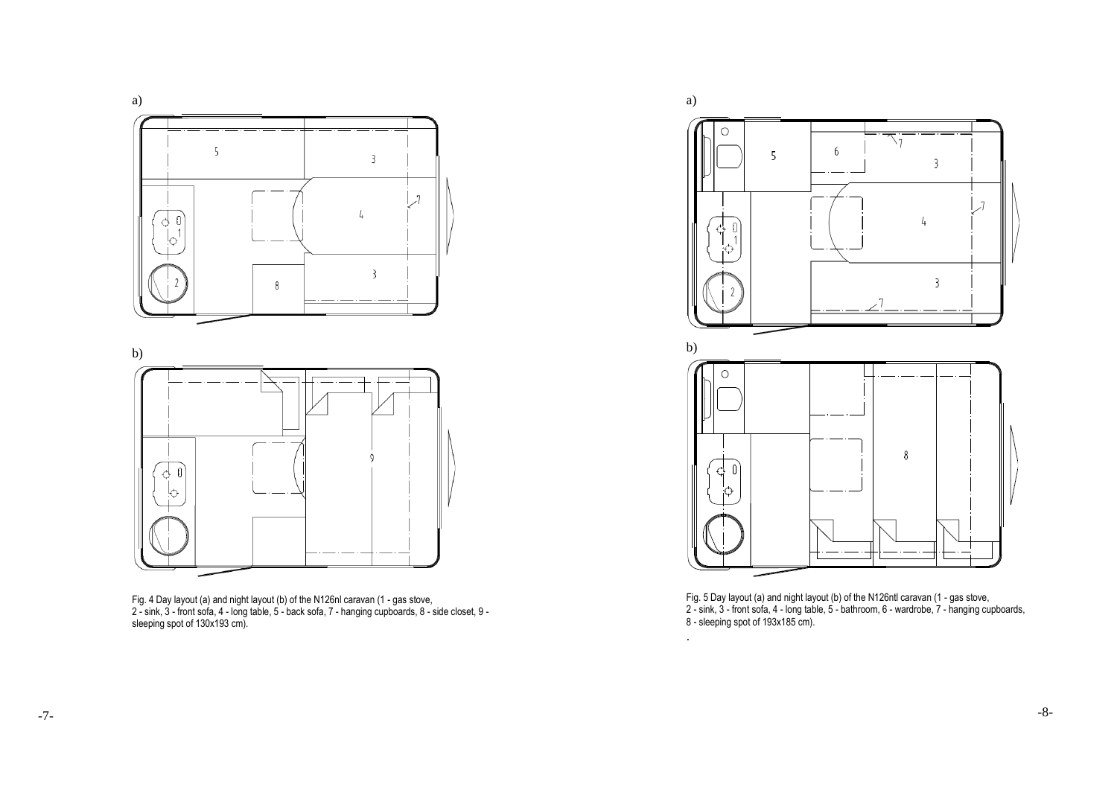





Fig. 4 Day layout (a) and night layout (b) of the N126nl caravan (1 - gas stove, 2 - sink, 3 - front sofa, 4 - long table, 5 - back sofa, 7 - hanging cupboards, 8 - side closet, 9 sleeping spot of 130x193 cm).



.



Fig. 5 Day layout (a) and night layout (b) of the N126ntl caravan (1 - gas stove, 2 - sink, 3 - front sofa, 4 - long table, 5 - bathroom, 6 - wardrobe, 7 - hanging cupboards, 8 - sleeping spot of 193x185 cm).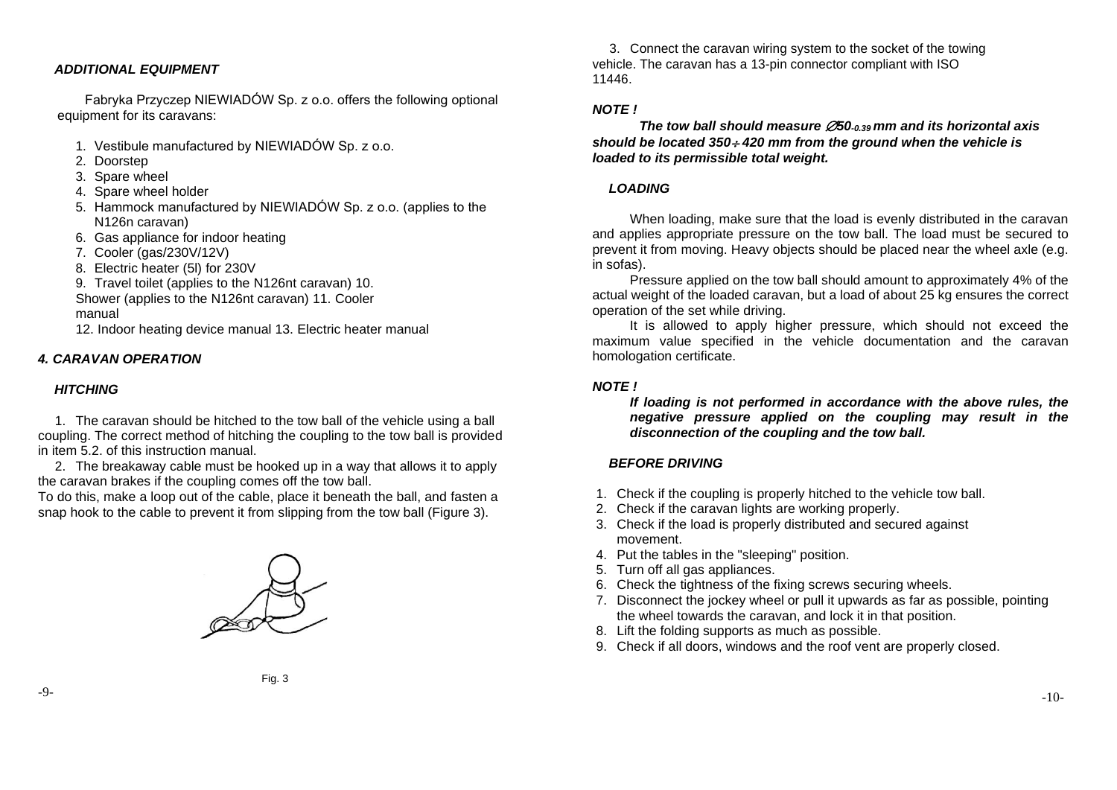### *ADDITIONAL EQUIPMENT*

Fabryka Przyczep NIEWIADÓW Sp. z o.o. offers the following optional equipment for its caravans:

- 1. Vestibule manufactured by NIEWIADÓW Sp. z o.o.
- 2. Doorstep
- 3. Spare wheel
- 4. Spare wheel holder
- 5. Hammock manufactured by NIEWIADÓW Sp. z o.o. (applies to the N126n caravan)
- 6. Gas appliance for indoor heating
- 7. Cooler (gas/230V/12V)
- 8. Electric heater (5l) for 230V
- 9. Travel toilet (applies to the N126nt caravan) 10. Shower (applies to the N126nt caravan) 11. Cooler manual

12. Indoor heating device manual 13. Electric heater manual

# <span id="page-5-0"></span>*4. CARAVAN OPERATION*

# <span id="page-5-1"></span>*HITCHING*

1. The caravan should be hitched to the tow ball of the vehicle using a ball coupling. The correct method of hitching the coupling to the tow ball is provided in item 5.2. of this instruction manual.

2. The breakaway cable must be hooked up in a way that allows it to apply the caravan brakes if the coupling comes off the tow ball.

To do this, make a loop out of the cable, place it beneath the ball, and fasten a snap hook to the cable to prevent it from slipping from the tow ball (Figure 3).



3. Connect the caravan wiring system to the socket of the towing vehicle. The caravan has a 13-pin connector compliant with ISO 11446.

## *NOTE !*

*The tow ball should measure 50-0.39 mm and its horizontal axis should be located 350 420 mm from the ground when the vehicle is loaded to its permissible total weight.*

## <span id="page-5-2"></span>*LOADING*

When loading, make sure that the load is evenly distributed in the caravan and applies appropriate pressure on the tow ball. The load must be secured to prevent it from moving. Heavy objects should be placed near the wheel axle (e.g. in sofas).

Pressure applied on the tow ball should amount to approximately 4% of the actual weight of the loaded caravan, but a load of about 25 kg ensures the correct operation of the set while driving.

It is allowed to apply higher pressure, which should not exceed the maximum value specified in the vehicle documentation and the caravan homologation certificate.

## *NOTE !*

*If loading is not performed in accordance with the above rules, the negative pressure applied on the coupling may result in the disconnection of the coupling and the tow ball.*

### <span id="page-5-3"></span>*BEFORE DRIVING*

- 1. Check if the coupling is properly hitched to the vehicle tow ball.
- 2. Check if the caravan lights are working properly.
- 3. Check if the load is properly distributed and secured against movement.
- 4. Put the tables in the "sleeping" position.
- 5. Turn off all gas appliances.
- 6. Check the tightness of the fixing screws securing wheels.
- 7. Disconnect the jockey wheel or pull it upwards as far as possible, pointing the wheel towards the caravan, and lock it in that position.
- 8. Lift the folding supports as much as possible.
- 9. Check if all doors, windows and the roof vent are properly closed.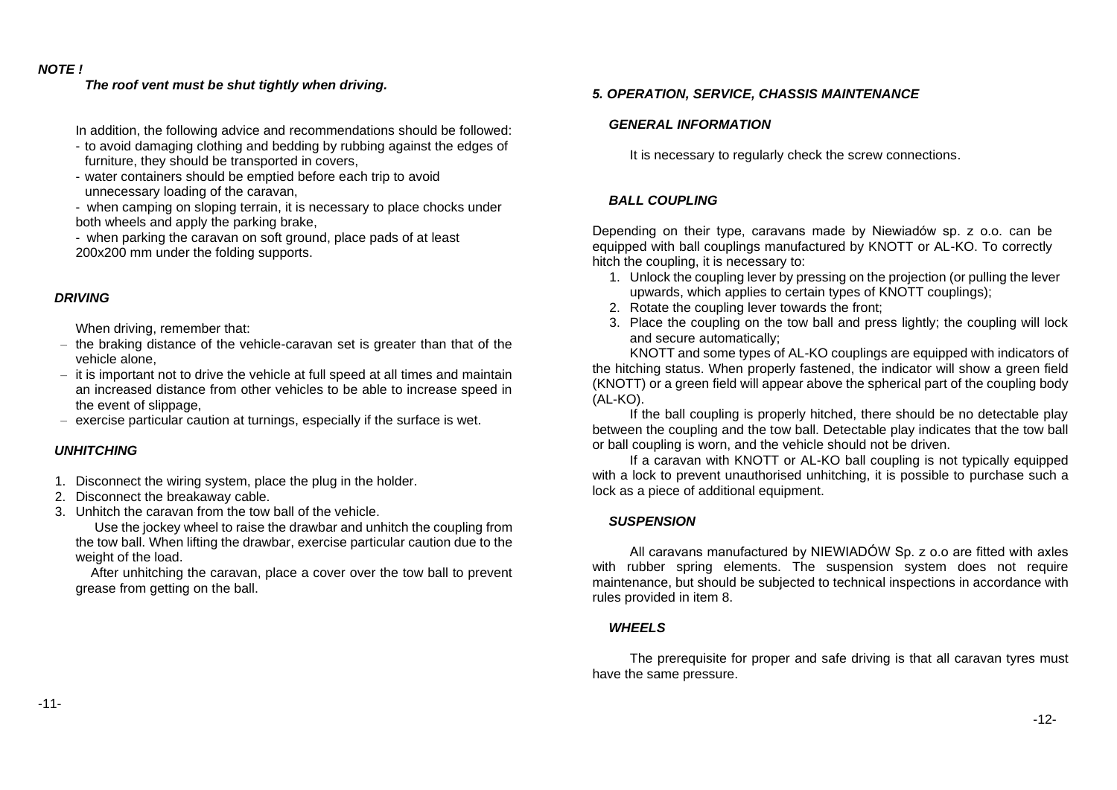# *NOTE !*

# *The roof vent must be shut tightly when driving.*

- In addition, the following advice and recommendations should be followed:
- to avoid damaging clothing and bedding by rubbing against the edges of furniture, they should be transported in covers,
- water containers should be emptied before each trip to avoid unnecessary loading of the caravan,
- when camping on sloping terrain, it is necessary to place chocks under both wheels and apply the parking brake,
- when parking the caravan on soft ground, place pads of at least 200x200 mm under the folding supports.

# <span id="page-6-0"></span>*DRIVING*

When driving, remember that:

- the braking distance of the vehicle-caravan set is greater than that of the vehicle alone,
- it is important not to drive the vehicle at full speed at all times and maintain an increased distance from other vehicles to be able to increase speed in the event of slippage,
- exercise particular caution at turnings, especially if the surface is wet.

# <span id="page-6-1"></span>*UNHITCHING*

- 1. Disconnect the wiring system, place the plug in the holder.
- 2. Disconnect the breakaway cable.
- 3. Unhitch the caravan from the tow ball of the vehicle.

Use the jockey wheel to raise the drawbar and unhitch the coupling from the tow ball. When lifting the drawbar, exercise particular caution due to the weight of the load.

After unhitching the caravan, place a cover over the tow ball to prevent grease from getting on the ball.

# <span id="page-6-2"></span>*5. OPERATION, SERVICE, CHASSIS MAINTENANCE*

## <span id="page-6-3"></span>*GENERAL INFORMATION*

It is necessary to regularly check the screw connections.

# <span id="page-6-4"></span>*BALL COUPLING*

Depending on their type, caravans made by Niewiadów sp. z o.o. can be equipped with ball couplings manufactured by KNOTT or AL-KO. To correctly hitch the coupling, it is necessary to:

- 1. Unlock the coupling lever by pressing on the projection (or pulling the lever upwards, which applies to certain types of KNOTT couplings);
- 2. Rotate the coupling lever towards the front;
- 3. Place the coupling on the tow ball and press lightly; the coupling will lock and secure automatically;

KNOTT and some types of AL-KO couplings are equipped with indicators of the hitching status. When properly fastened, the indicator will show a green field (KNOTT) or a green field will appear above the spherical part of the coupling body (AL-KO).

If the ball coupling is properly hitched, there should be no detectable play between the coupling and the tow ball. Detectable play indicates that the tow ball or ball coupling is worn, and the vehicle should not be driven.

If a caravan with KNOTT or AL-KO ball coupling is not typically equipped with a lock to prevent unauthorised unhitching, it is possible to purchase such a lock as a piece of additional equipment.

# <span id="page-6-5"></span>*SUSPENSION*

All caravans manufactured by NIEWIADÓW Sp. z o.o are fitted with axles with rubber spring elements. The suspension system does not require maintenance, but should be subjected to technical inspections in accordance with rules provided in item 8.

# <span id="page-6-6"></span>*WHEELS*

The prerequisite for proper and safe driving is that all caravan tyres must have the same pressure.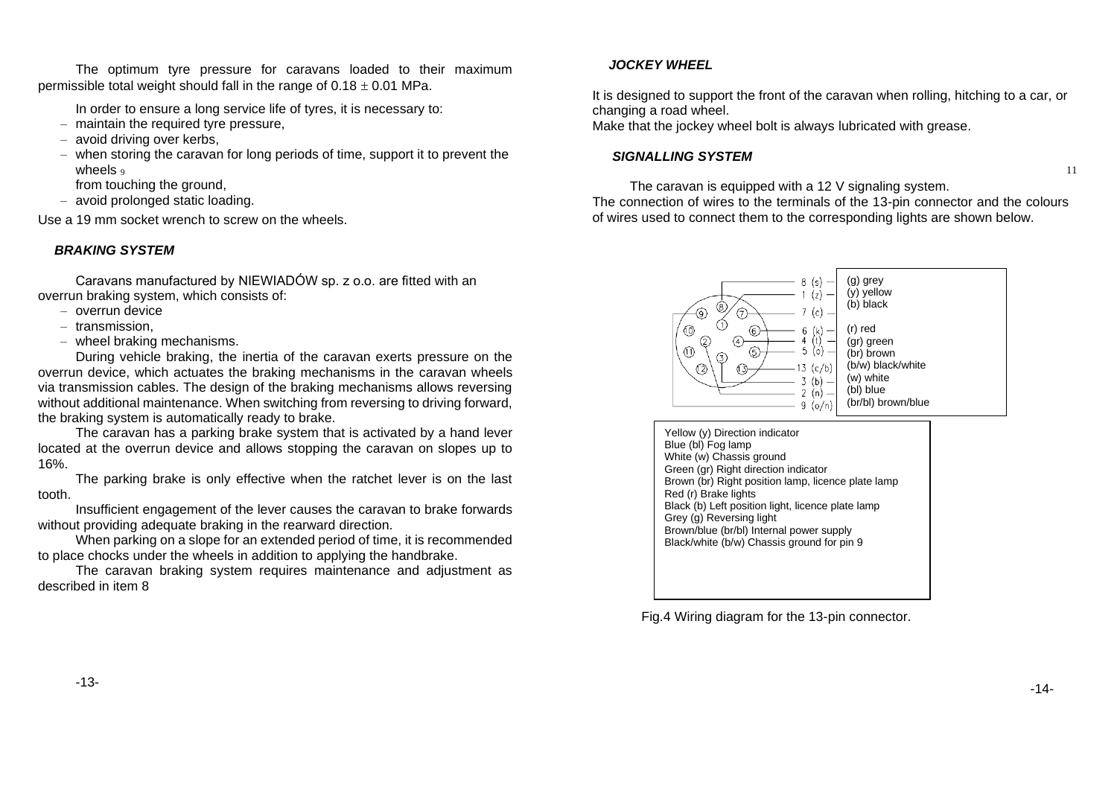The optimum tyre pressure for caravans loaded to their maximum permissible total weight should fall in the range of  $0.18 \pm 0.01$  MPa.

In order to ensure a long service life of tyres, it is necessary to:

- maintain the required tyre pressure,
- avoid driving over kerbs,
- when storing the caravan for long periods of time, support it to prevent the wheels  $\circ$

from touching the ground,

– avoid prolonged static loading.

Use a 19 mm socket wrench to screw on the wheels.

# <span id="page-7-0"></span>*BRAKING SYSTEM*

Caravans manufactured by NIEWIADÓW sp. z o.o. are fitted with an overrun braking system, which consists of:

- overrun device
- transmission,
- wheel braking mechanisms.

During vehicle braking, the inertia of the caravan exerts pressure on the overrun device, which actuates the braking mechanisms in the caravan wheels via transmission cables. The design of the braking mechanisms allows reversing without additional maintenance. When switching from reversing to driving forward, the braking system is automatically ready to brake.

The caravan has a parking brake system that is activated by a hand lever located at the overrun device and allows stopping the caravan on slopes up to 16%.

The parking brake is only effective when the ratchet lever is on the last tooth.

Insufficient engagement of the lever causes the caravan to brake forwards without providing adequate braking in the rearward direction.

When parking on a slope for an extended period of time, it is recommended to place chocks under the wheels in addition to applying the handbrake.

<span id="page-7-1"></span>The caravan braking system requires maintenance and adjustment as described in item 8

# *JOCKEY WHEEL*

It is designed to support the front of the caravan when rolling, hitching to a car, or changing a road wheel.

Make that the jockey wheel bolt is always lubricated with grease.

# <span id="page-7-2"></span>*SIGNALLING SYSTEM*

The caravan is equipped with a 12 V signaling system.

The connection of wires to the terminals of the 13-pin connector and the colours of wires used to connect them to the corresponding lights are shown below.



Yellow (y) Direction indicator Blue (bl) Fog lamp White (w) Chassis ground Green (gr) Right direction indicator Brown (br) Right position lamp, licence plate lamp Red (r) Brake lights Black (b) Left position light, licence plate lamp Grey (g) Reversing light Brown/blue (br/bl) Internal power supply Black/white (b/w) Chassis ground for pin 9

Fig.4 Wiring diagram for the 13-pin connector.

11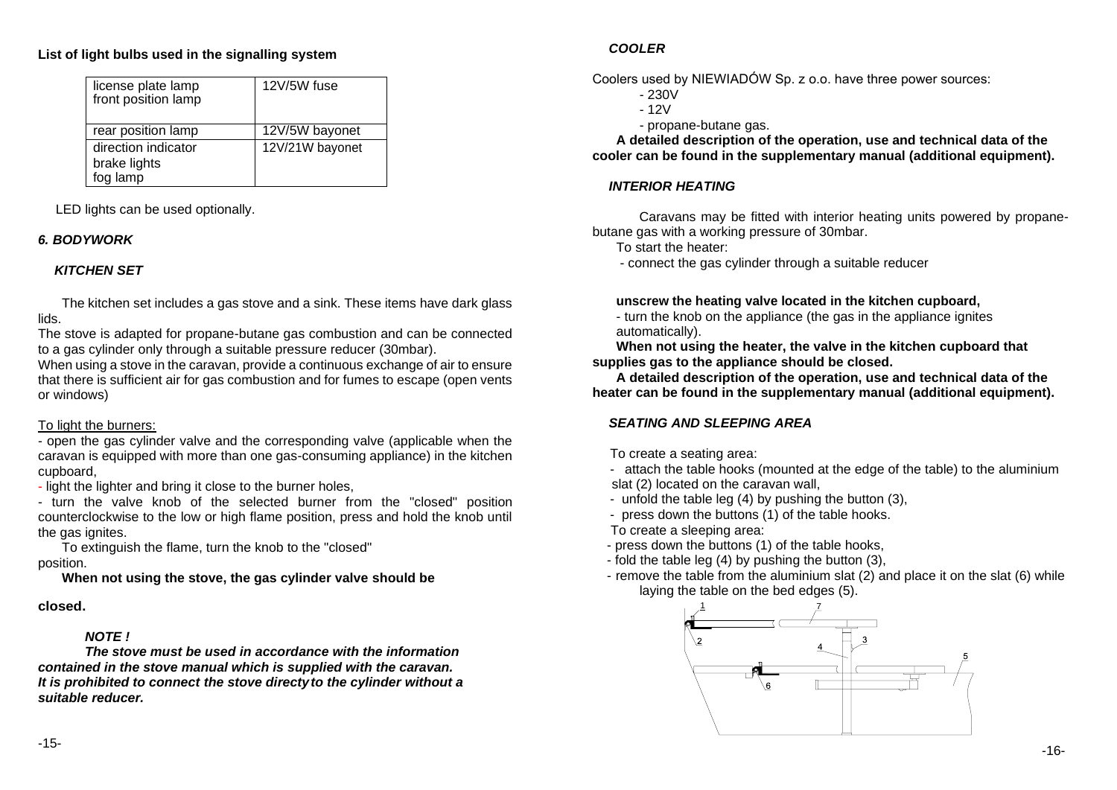# **List of light bulbs used in the signalling system**

| license plate lamp<br>front position lamp       | 12V/5W fuse     |
|-------------------------------------------------|-----------------|
| rear position lamp                              | 12V/5W bayonet  |
| direction indicator<br>brake lights<br>fog lamp | 12V/21W bayonet |

LED lights can be used optionally.

# <span id="page-8-0"></span>*6. BODYWORK*

# <span id="page-8-1"></span>*KITCHEN SET*

<span id="page-8-2"></span>The kitchen set includes a gas stove and a sink. These items have dark glass lids.

The stove is adapted for propane-butane gas combustion and can be connected to a gas cylinder only through a suitable pressure reducer (30mbar).

When using a stove in the caravan, provide a continuous exchange of air to ensure that there is sufficient air for gas combustion and for fumes to escape (open vents or windows)

# To light the burners:

- open the gas cylinder valve and the corresponding valve (applicable when the caravan is equipped with more than one gas-consuming appliance) in the kitchen cupboard,

- light the lighter and bring it close to the burner holes,

- turn the valve knob of the selected burner from the "closed" position counterclockwise to the low or high flame position, press and hold the knob until the gas ignites.

To extinguish the flame, turn the knob to the "closed" position.

**When not using the stove, the gas cylinder valve should be**

# *NOTE !*

*The stove must be used in accordance with the information contained in the stove manual which is supplied with the caravan. It is prohibited to connect the stove directyto the cylinder without a suitable reducer.*

# *COOLER*

Coolers used by NIEWIADÓW Sp. z o.o. have three power sources:

- 230V
- 12V
- propane-butane gas.

**A detailed description of the operation, use and technical data of the cooler can be found in the supplementary manual (additional equipment).**

# <span id="page-8-3"></span>*INTERIOR HEATING*

Caravans may be fitted with interior heating units powered by propanebutane gas with a working pressure of 30mbar.

To start the heater:

- connect the gas cylinder through a suitable reducer

# **unscrew the heating valve located in the kitchen cupboard,**

- turn the knob on the appliance (the gas in the appliance ignites automatically).

**When not using the heater, the valve in the kitchen cupboard that supplies gas to the appliance should be closed.**

**A detailed description of the operation, use and technical data of the heater can be found in the supplementary manual (additional equipment).**

# <span id="page-8-4"></span>*SEATING AND SLEEPING AREA*

To create a seating area:

- attach the table hooks (mounted at the edge of the table) to the aluminium slat (2) located on the caravan wall,

- unfold the table leg (4) by pushing the button (3),
- press down the buttons (1) of the table hooks.
- To create a sleeping area:
- press down the buttons (1) of the table hooks,
- fold the table leg (4) by pushing the button (3),
- remove the table from the aluminium slat (2) and place it on the slat (6) while laying the table on the bed edges (5).

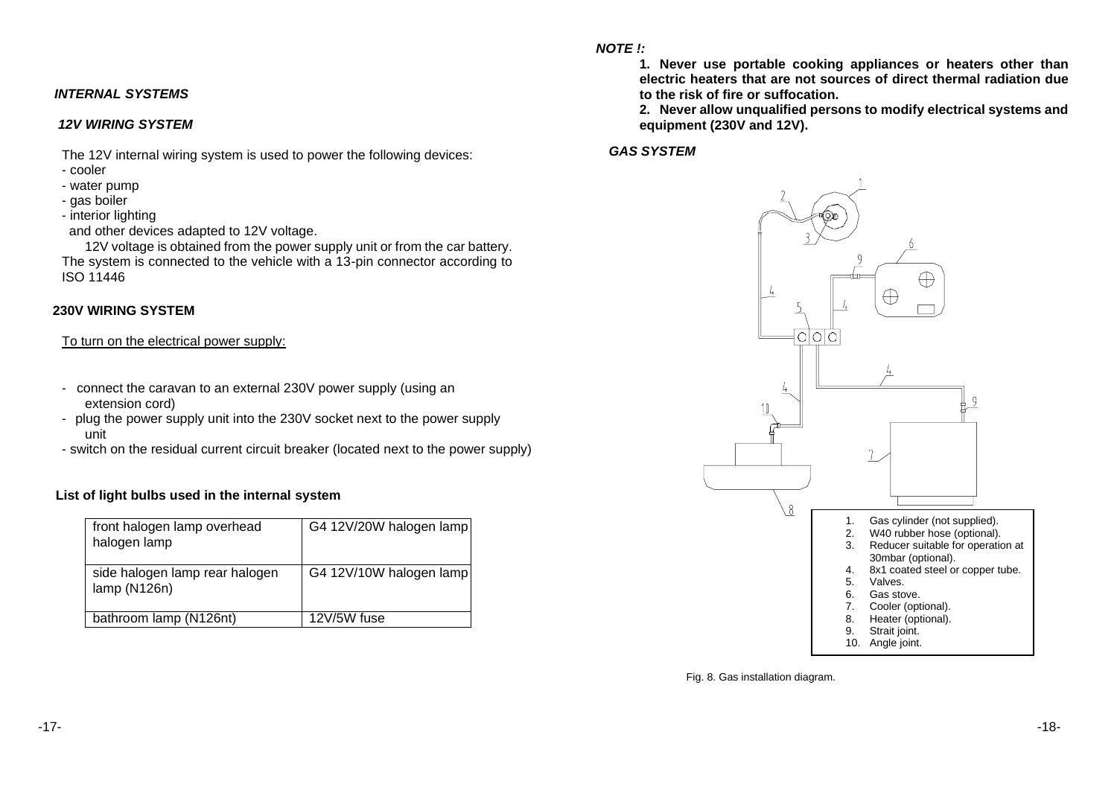# <span id="page-9-0"></span>*INTERNAL SYSTEMS*

### <span id="page-9-1"></span>*12V WIRING SYSTEM*

The 12V internal wiring system is used to power the following devices:

- cooler
- water pump
- gas boiler
- interior lighting

and other devices adapted to 12V voltage.

12V voltage is obtained from the power supply unit or from the car battery. The system is connected to the vehicle with a 13-pin connector according to ISO 11446

## <span id="page-9-2"></span> **230V WIRING SYSTEM**

To turn on the electrical power supply:

- connect the caravan to an external 230V power supply (using an extension cord)
- plug the power supply unit into the 230V socket next to the power supply unit
- switch on the residual current circuit breaker (located next to the power supply)

# **List of light bulbs used in the internal system**

| front halogen lamp overhead<br>halogen lamp   | G4 12V/20W halogen lamp |
|-----------------------------------------------|-------------------------|
| side halogen lamp rear halogen<br>lamp(N126n) | G4 12V/10W halogen lamp |
| bathroom lamp (N126nt)                        | 12V/5W fuse             |

*NOTE !:*

**1. Never use portable cooking appliances or heaters other than electric heaters that are not sources of direct thermal radiation due to the risk of fire or suffocation.**

**2. Never allow unqualified persons to modify electrical systems and equipment (230V and 12V).**

### <span id="page-9-3"></span>*GAS SYSTEM*



Fig. 8. Gas installation diagram.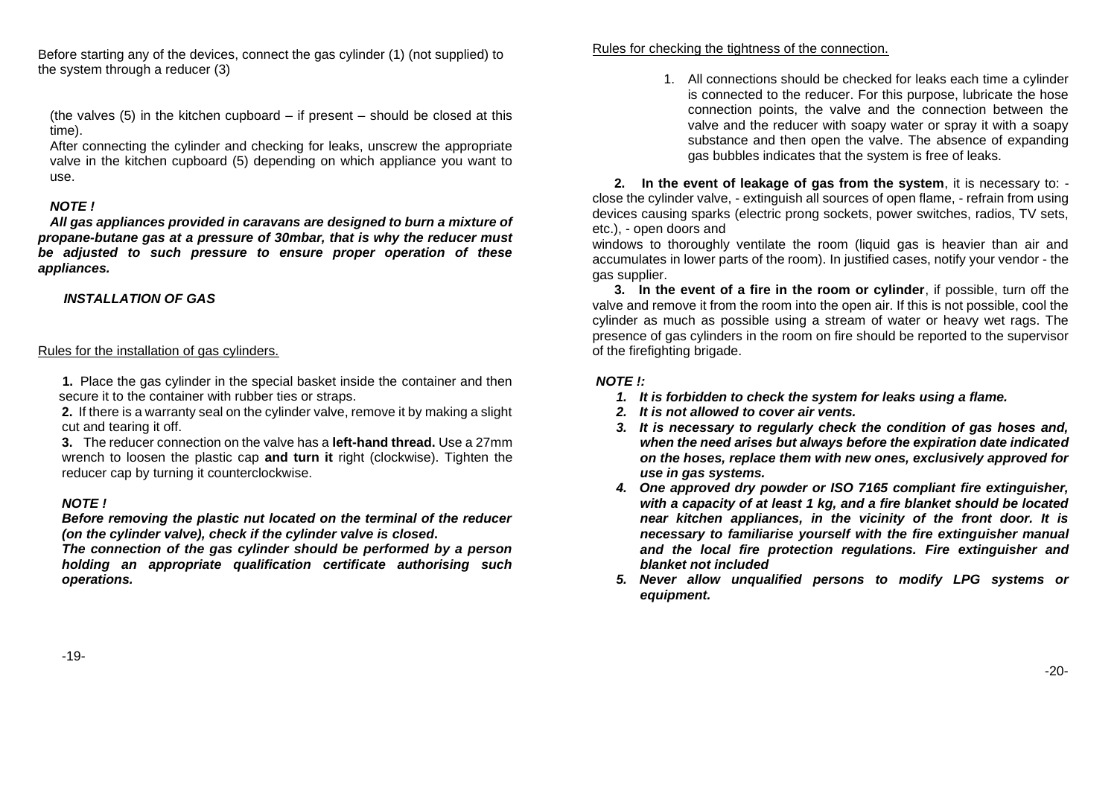Before starting any of the devices, connect the gas cylinder (1) (not supplied) to the system through a reducer (3)

(the valves (5) in the kitchen cupboard – if present – should be closed at this time).

After connecting the cylinder and checking for leaks, unscrew the appropriate valve in the kitchen cupboard (5) depending on which appliance you want to use.

# *NOTE !*

*All gas appliances provided in caravans are designed to burn a mixture of propane-butane gas at a pressure of 30mbar, that is why the reducer must be adjusted to such pressure to ensure proper operation of these appliances.*

# *INSTALLATION OF GAS*

### Rules for the installation of gas cylinders.

**1.** Place the gas cylinder in the special basket inside the container and then secure it to the container with rubber ties or straps.

**2.** If there is a warranty seal on the cylinder valve, remove it by making a slight cut and tearing it off.

**3.** The reducer connection on the valve has a **left-hand thread.** Use a 27mm wrench to loosen the plastic cap **and turn it** right (clockwise). Tighten the reducer cap by turning it counterclockwise.

### *NOTE !*

*Before removing the plastic nut located on the terminal of the reducer (on the cylinder valve), check if the cylinder valve is closed***.**

*The connection of the gas cylinder should be performed by a person holding an appropriate qualification certificate authorising such operations.*

### Rules for checking the tightness of the connection.

1. All connections should be checked for leaks each time a cylinder is connected to the reducer. For this purpose, lubricate the hose connection points, the valve and the connection between the valve and the reducer with soapy water or spray it with a soapy substance and then open the valve. The absence of expanding gas bubbles indicates that the system is free of leaks.

**2. In the event of leakage of gas from the system**, it is necessary to: close the cylinder valve, - extinguish all sources of open flame, - refrain from using devices causing sparks (electric prong sockets, power switches, radios, TV sets, etc.), - open doors and

windows to thoroughly ventilate the room (liquid gas is heavier than air and accumulates in lower parts of the room). In justified cases, notify your vendor - the gas supplier.

**3. In the event of a fire in the room or cylinder**, if possible, turn off the valve and remove it from the room into the open air. If this is not possible, cool the cylinder as much as possible using a stream of water or heavy wet rags. The presence of gas cylinders in the room on fire should be reported to the supervisor of the firefighting brigade.

### *NOTE !:*

- *1. It is forbidden to check the system for leaks using a flame.*
- *2. It is not allowed to cover air vents.*
- *3. It is necessary to regularly check the condition of gas hoses and, when the need arises but always before the expiration date indicated on the hoses, replace them with new ones, exclusively approved for use in gas systems.*
- *4. One approved dry powder or ISO 7165 compliant fire extinguisher, with a capacity of at least 1 kg, and a fire blanket should be located near kitchen appliances, in the vicinity of the front door. It is necessary to familiarise yourself with the fire extinguisher manual and the local fire protection regulations. Fire extinguisher and blanket not included*
- *5. Never allow unqualified persons to modify LPG systems or equipment.*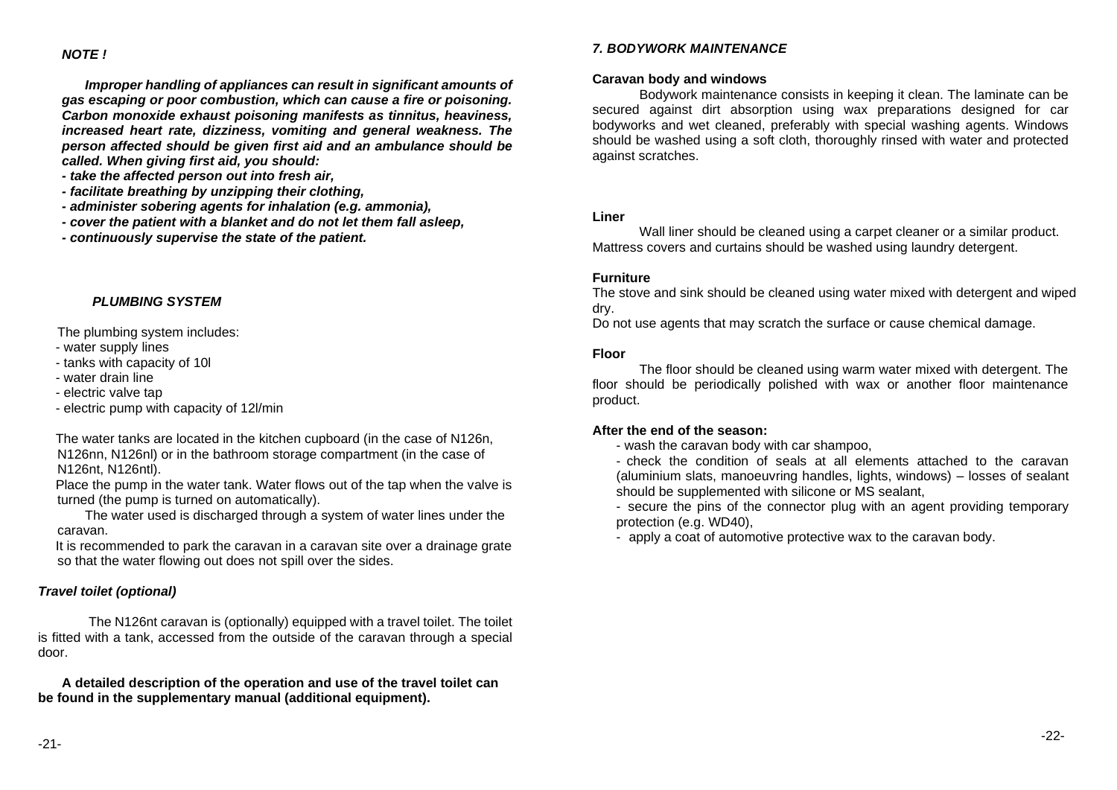### *NOTE !*

*Improper handling of appliances can result in significant amounts of gas escaping or poor combustion, which can cause a fire or poisoning. Carbon monoxide exhaust poisoning manifests as tinnitus, heaviness, increased heart rate, dizziness, vomiting and general weakness. The person affected should be given first aid and an ambulance should be called. When giving first aid, you should:*

- *- take the affected person out into fresh air,*
- *- facilitate breathing by unzipping their clothing,*
- *- administer sobering agents for inhalation (e.g. ammonia),*
- *- cover the patient with a blanket and do not let them fall asleep,*
- *- continuously supervise the state of the patient.*

### *PLUMBING SYSTEM*

<span id="page-11-0"></span>The plumbing system includes:

- water supply lines
- tanks with capacity of 10l
- water drain line
- electric valve tap
- electric pump with capacity of 12l/min

The water tanks are located in the kitchen cupboard (in the case of N126n, N126nn, N126nl) or in the bathroom storage compartment (in the case of N126nt, N126ntl).

Place the pump in the water tank. Water flows out of the tap when the valve is turned (the pump is turned on automatically).

The water used is discharged through a system of water lines under the caravan.

It is recommended to park the caravan in a caravan site over a drainage grate so that the water flowing out does not spill over the sides.

### *Travel toilet (optional)*

The N126nt caravan is (optionally) equipped with a travel toilet. The toilet is fitted with a tank, accessed from the outside of the caravan through a special door.

<span id="page-11-1"></span>**A detailed description of the operation and use of the travel toilet can be found in the supplementary manual (additional equipment).**

### *7. BODYWORK MAINTENANCE*

### **Caravan body and windows**

Bodywork maintenance consists in keeping it clean. The laminate can be secured against dirt absorption using wax preparations designed for car bodyworks and wet cleaned, preferably with special washing agents. Windows should be washed using a soft cloth, thoroughly rinsed with water and protected against scratches.

### **Liner**

Wall liner should be cleaned using a carpet cleaner or a similar product. Mattress covers and curtains should be washed using laundry detergent.

### **Furniture**

The stove and sink should be cleaned using water mixed with detergent and wiped dry.

Do not use agents that may scratch the surface or cause chemical damage.

### **Floor**

The floor should be cleaned using warm water mixed with detergent. The floor should be periodically polished with wax or another floor maintenance product.

### **After the end of the season:**

- wash the caravan body with car shampoo,

- check the condition of seals at all elements attached to the caravan (aluminium slats, manoeuvring handles, lights, windows) – losses of sealant should be supplemented with silicone or MS sealant,

- secure the pins of the connector plug with an agent providing temporary protection (e.g. WD40),

<span id="page-11-2"></span>- apply a coat of automotive protective wax to the caravan body.